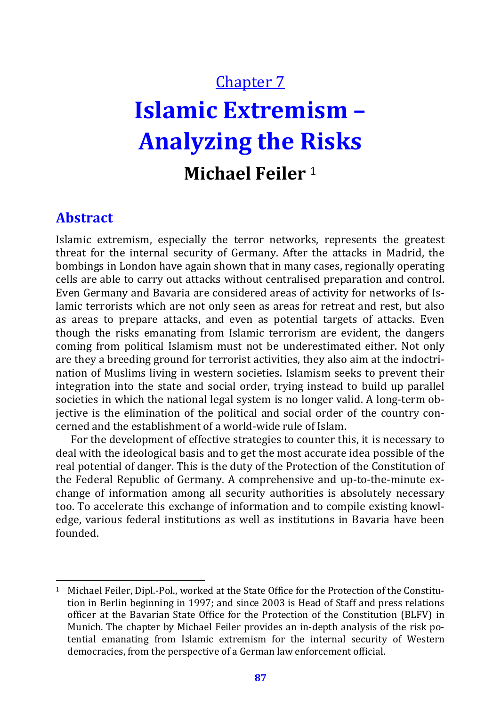# Chapter 7 **Islamic Extremism – Analyzing the Risks Michael Feiler** <sup>1</sup>

#### **Abstract**

 $\overline{a}$ 

Islamic extremism, especially the terror networks, represents the greatest threat for the internal security of Germany. After the attacks in Madrid, the bombings in London have again shown that in many cases, regionally operating cells are able to carry out attacks without centralised preparation and control. Even Germany and Bavaria are considered areas of activity for networks of Islamic terrorists which are not only seen as areas for retreat and rest, but also as areas to prepare attacks, and even as potential targets of attacks. Even though the risks emanating from Islamic terrorism are evident, the dangers coming from political Islamism must not be underestimated either. Not only are they a breeding ground for terrorist activities, they also aim at the indoctrination of Muslims living in western societies. Islamism seeks to prevent their integration into the state and social order, trying instead to build up parallel societies in which the national legal system is no longer valid. A long-term objective is the elimination of the political and social order of the country concerned and the establishment of a world-wide rule of Islam.

For the development of effective strategies to counter this, it is necessary to deal with the ideological basis and to get the most accurate idea possible of the real potential of danger. This is the duty of the Protection of the Constitution of the Federal Republic of Germany. A comprehensive and up-to-the-minute exchange of information among all security authorities is absolutely necessary too. To accelerate this exchange of information and to compile existing knowledge, various federal institutions as well as institutions in Bavaria have been founded.

<sup>1</sup> Michael Feiler, Dipl.-Pol., worked at the State Office for the Protection of the Constitution in Berlin beginning in 1997; and since 2003 is Head of Staff and press relations officer at the Bavarian State Office for the Protection of the Constitution (BLFV) in Munich. The chapter by Michael Feiler provides an in-depth analysis of the risk potential emanating from Islamic extremism for the internal security of Western democracies, from the perspective of a German law enforcement official.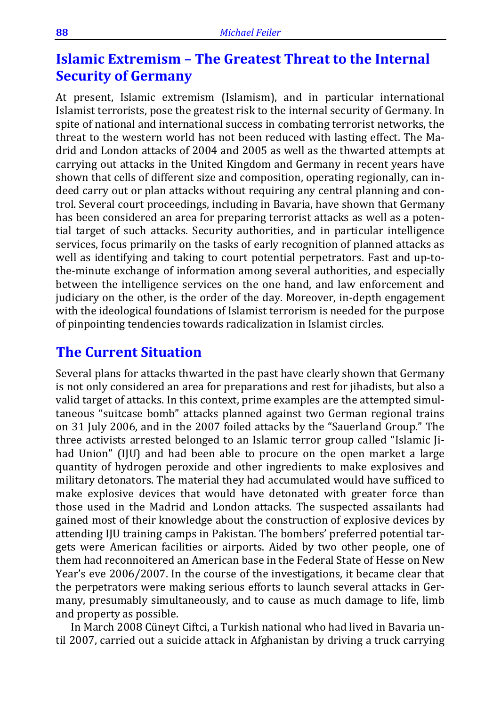## **Islamic Extremism – The Greatest Threat to the Internal Security of Germany**

At present, Islamic extremism (Islamism), and in particular international Islamist terrorists, pose the greatest risk to the internal security of Germany. In spite of national and international success in combating terrorist networks, the threat to the western world has not been reduced with lasting effect. The Madrid and London attacks of 2004 and 2005 as well as the thwarted attempts at carrying out attacks in the United Kingdom and Germany in recent years have shown that cells of different size and composition, operating regionally, can indeed carry out or plan attacks without requiring any central planning and control. Several court proceedings, including in Bavaria, have shown that Germany has been considered an area for preparing terrorist attacks as well as a potential target of such attacks. Security authorities, and in particular intelligence services, focus primarily on the tasks of early recognition of planned attacks as well as identifying and taking to court potential perpetrators. Fast and up-tothe-minute exchange of information among several authorities, and especially between the intelligence services on the one hand, and law enforcement and judiciary on the other, is the order of the day. Moreover, in-depth engagement with the ideological foundations of Islamist terrorism is needed for the purpose of pinpointing tendencies towards radicalization in Islamist circles.

### **The Current Situation**

Several plans for attacks thwarted in the past have clearly shown that Germany is not only considered an area for preparations and rest for jihadists, but also a valid target of attacks. In this context, prime examples are the attempted simultaneous "suitcase bomb" attacks planned against two German regional trains on 31 July 2006, and in the 2007 foiled attacks by the "Sauerland Group." The three activists arrested belonged to an Islamic terror group called "Islamic Jihad Union" (IJU) and had been able to procure on the open market a large quantity of hydrogen peroxide and other ingredients to make explosives and military detonators. The material they had accumulated would have sufficed to make explosive devices that would have detonated with greater force than those used in the Madrid and London attacks. The suspected assailants had gained most of their knowledge about the construction of explosive devices by attending IJU training camps in Pakistan. The bombers' preferred potential targets were American facilities or airports. Aided by two other people, one of them had reconnoitered an American base in the Federal State of Hesse on New Year's eve 2006/2007. In the course of the investigations, it became clear that the perpetrators were making serious efforts to launch several attacks in Germany, presumably simultaneously, and to cause as much damage to life, limb and property as possible.

In March 2008 Cüneyt Ciftci, a Turkish national who had lived in Bavaria until 2007, carried out a suicide attack in Afghanistan by driving a truck carrying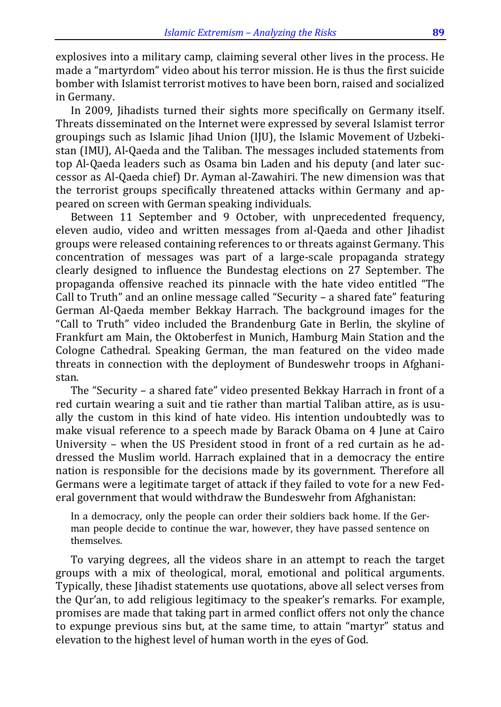explosives into a military camp, claiming several other lives in the process. He made a "martyrdom" video about his terror mission. He is thus the first suicide bomber with Islamist terrorist motives to have been born, raised and socialized in Germany.

In 2009, Jihadists turned their sights more specifically on Germany itself. Threats disseminated on the Internet were expressed by several Islamist terror groupings such as Islamic Jihad Union (IJU), the Islamic Movement of Uzbekistan (IMU), Al-Qaeda and the Taliban. The messages included statements from top Al-Qaeda leaders such as Osama bin Laden and his deputy (and later successor as Al-Qaeda chief) Dr. Ayman al-Zawahiri. The new dimension was that the terrorist groups specifically threatened attacks within Germany and appeared on screen with German speaking individuals.

Between 11 September and 9 October, with unprecedented frequency, eleven audio, video and written messages from al-Qaeda and other Jihadist groups were released containing references to or threats against Germany. This concentration of messages was part of a large-scale propaganda strategy clearly designed to influence the Bundestag elections on 27 September. The propaganda offensive reached its pinnacle with the hate video entitled "The Call to Truth" and an online message called "Security – a shared fate" featuring German Al-Qaeda member Bekkay Harrach. The background images for the "Call to Truth" video included the Brandenburg Gate in Berlin, the skyline of Frankfurt am Main, the Oktoberfest in Munich, Hamburg Main Station and the Cologne Cathedral. Speaking German, the man featured on the video made threats in connection with the deployment of Bundeswehr troops in Afghanistan.

The "Security – a shared fate" video presented Bekkay Harrach in front of a red curtain wearing a suit and tie rather than martial Taliban attire, as is usually the custom in this kind of hate video. His intention undoubtedly was to make visual reference to a speech made by Barack Obama on 4 June at Cairo University – when the US President stood in front of a red curtain as he addressed the Muslim world. Harrach explained that in a democracy the entire nation is responsible for the decisions made by its government. Therefore all Germans were a legitimate target of attack if they failed to vote for a new Federal government that would withdraw the Bundeswehr from Afghanistan:

In a democracy, only the people can order their soldiers back home. If the German people decide to continue the war, however, they have passed sentence on themselves.

To varying degrees, all the videos share in an attempt to reach the target groups with a mix of theological, moral, emotional and political arguments. Typically, these Jihadist statements use quotations, above all select verses from the Qur'an, to add religious legitimacy to the speaker's remarks. For example, promises are made that taking part in armed conflict offers not only the chance to expunge previous sins but, at the same time, to attain "martyr" status and elevation to the highest level of human worth in the eyes of God.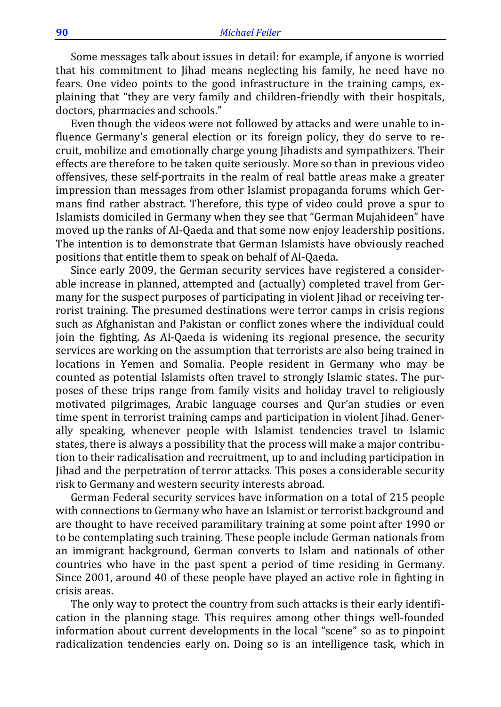Some messages talk about issues in detail: for example, if anyone is worried that his commitment to Jihad means neglecting his family, he need have no fears. One video points to the good infrastructure in the training camps, explaining that "they are very family and children-friendly with their hospitals, doctors, pharmacies and schools."

Even though the videos were not followed by attacks and were unable to influence Germany's general election or its foreign policy, they do serve to recruit, mobilize and emotionally charge young Jihadists and sympathizers. Their effects are therefore to be taken quite seriously. More so than in previous video offensives, these self-portraits in the realm of real battle areas make a greater impression than messages from other Islamist propaganda forums which Germans find rather abstract. Therefore, this type of video could prove a spur to Islamists domiciled in Germany when they see that "German Mujahideen" have moved up the ranks of Al-Qaeda and that some now enjoy leadership positions. The intention is to demonstrate that German Islamists have obviously reached positions that entitle them to speak on behalf of Al-Qaeda.

Since early 2009, the German security services have registered a considerable increase in planned, attempted and (actually) completed travel from Germany for the suspect purposes of participating in violent Jihad or receiving terrorist training. The presumed destinations were terror camps in crisis regions such as Afghanistan and Pakistan or conflict zones where the individual could join the fighting. As Al-Qaeda is widening its regional presence, the security services are working on the assumption that terrorists are also being trained in locations in Yemen and Somalia. People resident in Germany who may be counted as potential Islamists often travel to strongly Islamic states. The purposes of these trips range from family visits and holiday travel to religiously motivated pilgrimages, Arabic language courses and Qur'an studies or even time spent in terrorist training camps and participation in violent Jihad. Generally speaking, whenever people with Islamist tendencies travel to Islamic states, there is always a possibility that the process will make a major contribution to their radicalisation and recruitment, up to and including participation in Jihad and the perpetration of terror attacks. This poses a considerable security risk to Germany and western security interests abroad.

German Federal security services have information on a total of 215 people with connections to Germany who have an Islamist or terrorist background and are thought to have received paramilitary training at some point after 1990 or to be contemplating such training. These people include German nationals from an immigrant background, German converts to Islam and nationals of other countries who have in the past spent a period of time residing in Germany. Since 2001, around 40 of these people have played an active role in fighting in crisis areas.

The only way to protect the country from such attacks is their early identification in the planning stage. This requires among other things well-founded information about current developments in the local "scene" so as to pinpoint radicalization tendencies early on. Doing so is an intelligence task, which in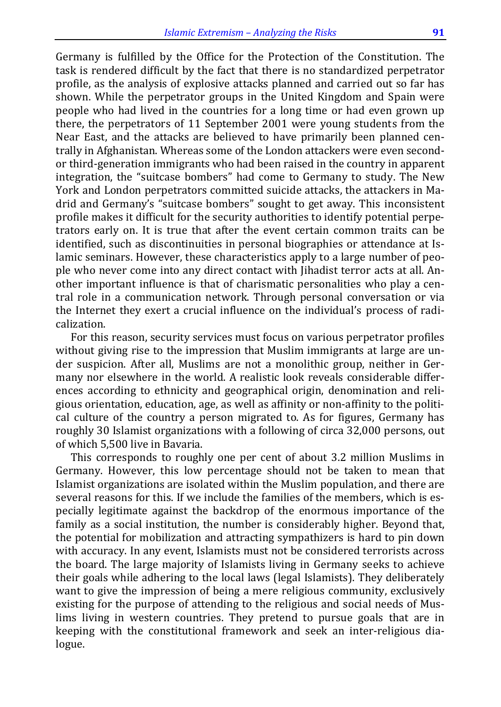Germany is fulfilled by the Office for the Protection of the Constitution. The task is rendered difficult by the fact that there is no standardized perpetrator profile, as the analysis of explosive attacks planned and carried out so far has shown. While the perpetrator groups in the United Kingdom and Spain were people who had lived in the countries for a long time or had even grown up there, the perpetrators of 11 September 2001 were young students from the Near East, and the attacks are believed to have primarily been planned centrally in Afghanistan. Whereas some of the London attackers were even secondor third-generation immigrants who had been raised in the country in apparent integration, the "suitcase bombers" had come to Germany to study. The New York and London perpetrators committed suicide attacks, the attackers in Madrid and Germany's "suitcase bombers" sought to get away. This inconsistent profile makes it difficult for the security authorities to identify potential perpetrators early on. It is true that after the event certain common traits can be identified, such as discontinuities in personal biographies or attendance at Islamic seminars. However, these characteristics apply to a large number of people who never come into any direct contact with Jihadist terror acts at all. Another important influence is that of charismatic personalities who play a central role in a communication network. Through personal conversation or via the Internet they exert a crucial influence on the individual's process of radicalization.

For this reason, security services must focus on various perpetrator profiles without giving rise to the impression that Muslim immigrants at large are under suspicion. After all, Muslims are not a monolithic group, neither in Germany nor elsewhere in the world. A realistic look reveals considerable differences according to ethnicity and geographical origin, denomination and religious orientation, education, age, as well as affinity or non-affinity to the political culture of the country a person migrated to. As for figures, Germany has roughly 30 Islamist organizations with a following of circa 32,000 persons, out of which 5,500 live in Bavaria.

This corresponds to roughly one per cent of about 3.2 million Muslims in Germany. However, this low percentage should not be taken to mean that Islamist organizations are isolated within the Muslim population, and there are several reasons for this. If we include the families of the members, which is especially legitimate against the backdrop of the enormous importance of the family as a social institution, the number is considerably higher. Beyond that, the potential for mobilization and attracting sympathizers is hard to pin down with accuracy. In any event, Islamists must not be considered terrorists across the board. The large majority of Islamists living in Germany seeks to achieve their goals while adhering to the local laws (legal Islamists). They deliberately want to give the impression of being a mere religious community, exclusively existing for the purpose of attending to the religious and social needs of Muslims living in western countries. They pretend to pursue goals that are in keeping with the constitutional framework and seek an inter-religious dialogue.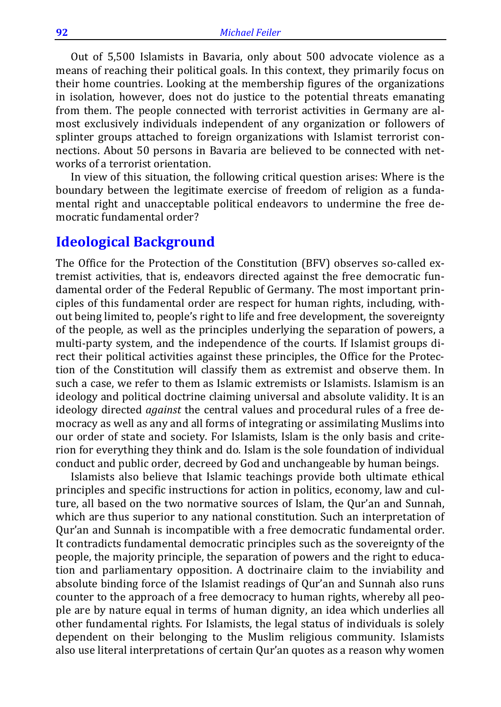Out of 5,500 Islamists in Bavaria, only about 500 advocate violence as a means of reaching their political goals. In this context, they primarily focus on their home countries. Looking at the membership figures of the organizations in isolation, however, does not do justice to the potential threats emanating from them. The people connected with terrorist activities in Germany are almost exclusively individuals independent of any organization or followers of splinter groups attached to foreign organizations with Islamist terrorist connections. About 50 persons in Bavaria are believed to be connected with networks of a terrorist orientation.

In view of this situation, the following critical question arises: Where is the boundary between the legitimate exercise of freedom of religion as a fundamental right and unacceptable political endeavors to undermine the free democratic fundamental order?

#### **Ideological Background**

The Office for the Protection of the Constitution (BFV) observes so-called extremist activities, that is, endeavors directed against the free democratic fundamental order of the Federal Republic of Germany. The most important principles of this fundamental order are respect for human rights, including, without being limited to, people's right to life and free development, the sovereignty of the people, as well as the principles underlying the separation of powers, a multi-party system, and the independence of the courts. If Islamist groups direct their political activities against these principles, the Office for the Protection of the Constitution will classify them as extremist and observe them. In such a case, we refer to them as Islamic extremists or Islamists. Islamism is an ideology and political doctrine claiming universal and absolute validity. It is an ideology directed *against* the central values and procedural rules of a free democracy as well as any and all forms of integrating or assimilating Muslims into our order of state and society. For Islamists, Islam is the only basis and criterion for everything they think and do. Islam is the sole foundation of individual conduct and public order, decreed by God and unchangeable by human beings.

Islamists also believe that Islamic teachings provide both ultimate ethical principles and specific instructions for action in politics, economy, law and culture, all based on the two normative sources of Islam, the Qur'an and Sunnah, which are thus superior to any national constitution. Such an interpretation of Qur'an and Sunnah is incompatible with a free democratic fundamental order. It contradicts fundamental democratic principles such as the sovereignty of the people, the majority principle, the separation of powers and the right to education and parliamentary opposition. A doctrinaire claim to the inviability and absolute binding force of the Islamist readings of Qur'an and Sunnah also runs counter to the approach of a free democracy to human rights, whereby all people are by nature equal in terms of human dignity, an idea which underlies all other fundamental rights. For Islamists, the legal status of individuals is solely dependent on their belonging to the Muslim religious community. Islamists also use literal interpretations of certain Qur'an quotes as a reason why women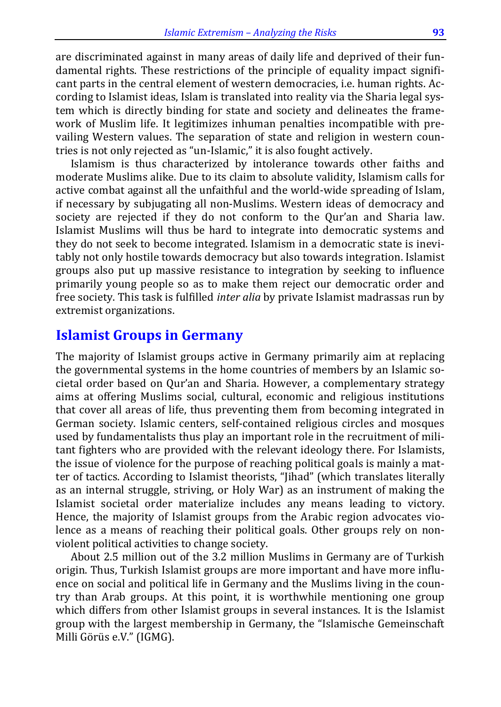are discriminated against in many areas of daily life and deprived of their fundamental rights. These restrictions of the principle of equality impact significant parts in the central element of western democracies, i.e. human rights. According to Islamist ideas, Islam is translated into reality via the Sharia legal system which is directly binding for state and society and delineates the framework of Muslim life. It legitimizes inhuman penalties incompatible with prevailing Western values. The separation of state and religion in western countries is not only rejected as "un-Islamic," it is also fought actively.

Islamism is thus characterized by intolerance towards other faiths and moderate Muslims alike. Due to its claim to absolute validity, Islamism calls for active combat against all the unfaithful and the world-wide spreading of Islam, if necessary by subjugating all non-Muslims. Western ideas of democracy and society are rejected if they do not conform to the Qur'an and Sharia law. Islamist Muslims will thus be hard to integrate into democratic systems and they do not seek to become integrated. Islamism in a democratic state is inevitably not only hostile towards democracy but also towards integration. Islamist groups also put up massive resistance to integration by seeking to influence primarily young people so as to make them reject our democratic order and free society. This task is fulfilled *inter alia* by private Islamist madrassas run by extremist organizations.

#### **Islamist Groups in Germany**

The majority of Islamist groups active in Germany primarily aim at replacing the governmental systems in the home countries of members by an Islamic societal order based on Qur'an and Sharia. However, a complementary strategy aims at offering Muslims social, cultural, economic and religious institutions that cover all areas of life, thus preventing them from becoming integrated in German society. Islamic centers, self-contained religious circles and mosques used by fundamentalists thus play an important role in the recruitment of militant fighters who are provided with the relevant ideology there. For Islamists, the issue of violence for the purpose of reaching political goals is mainly a matter of tactics. According to Islamist theorists, "Jihad" (which translates literally as an internal struggle, striving, or Holy War) as an instrument of making the Islamist societal order materialize includes any means leading to victory. Hence, the majority of Islamist groups from the Arabic region advocates violence as a means of reaching their political goals. Other groups rely on nonviolent political activities to change society.

About 2.5 million out of the 3.2 million Muslims in Germany are of Turkish origin. Thus, Turkish Islamist groups are more important and have more influence on social and political life in Germany and the Muslims living in the country than Arab groups. At this point, it is worthwhile mentioning one group which differs from other Islamist groups in several instances. It is the Islamist group with the largest membership in Germany, the "Islamische Gemeinschaft Milli Görüs e.V." (IGMG).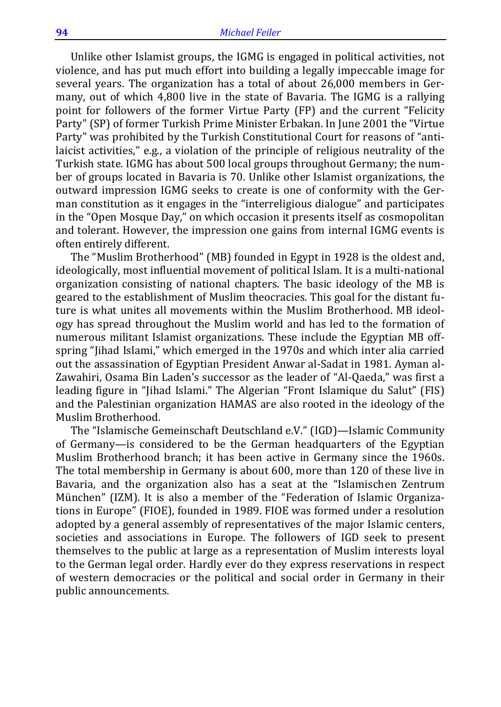Unlike other Islamist groups, the IGMG is engaged in political activities, not violence, and has put much effort into building a legally impeccable image for several years. The organization has a total of about 26,000 members in Germany, out of which 4,800 live in the state of Bavaria. The IGMG is a rallying point for followers of the former Virtue Party (FP) and the current "Felicity Party" (SP) of former Turkish Prime Minister Erbakan. In June 2001 the "Virtue Party" was prohibited by the Turkish Constitutional Court for reasons of "antilaicist activities," e.g., a violation of the principle of religious neutrality of the Turkish state. IGMG has about 500 local groups throughout Germany; the number of groups located in Bavaria is 70. Unlike other Islamist organizations, the outward impression IGMG seeks to create is one of conformity with the German constitution as it engages in the "interreligious dialogue" and participates in the "Open Mosque Day," on which occasion it presents itself as cosmopolitan and tolerant. However, the impression one gains from internal IGMG events is often entirely different.

The "Muslim Brotherhood" (MB) founded in Egypt in 1928 is the oldest and, ideologically, most influential movement of political Islam. It is a multi-national organization consisting of national chapters. The basic ideology of the MB is geared to the establishment of Muslim theocracies. This goal for the distant future is what unites all movements within the Muslim Brotherhood. MB ideology has spread throughout the Muslim world and has led to the formation of numerous militant Islamist organizations. These include the Egyptian MB offspring "Jihad Islami," which emerged in the 1970s and which inter alia carried out the assassination of Egyptian President Anwar al-Sadat in 1981. Ayman al-Zawahiri, Osama Bin Laden's successor as the leader of "Al-Qaeda," was first a leading figure in "Jihad Islami." The Algerian "Front Islamique du Salut" (FIS) and the Palestinian organization HAMAS are also rooted in the ideology of the Muslim Brotherhood.

The "Islamische Gemeinschaft Deutschland e.V." (IGD)—Islamic Community of Germany—is considered to be the German headquarters of the Egyptian Muslim Brotherhood branch; it has been active in Germany since the 1960s. The total membership in Germany is about 600, more than 120 of these live in Bavaria, and the organization also has a seat at the "Islamischen Zentrum München" (IZM). It is also a member of the "Federation of Islamic Organizations in Europe" (FIOE), founded in 1989. FIOE was formed under a resolution adopted by a general assembly of representatives of the major Islamic centers, societies and associations in Europe. The followers of IGD seek to present themselves to the public at large as a representation of Muslim interests loyal to the German legal order. Hardly ever do they express reservations in respect of western democracies or the political and social order in Germany in their public announcements.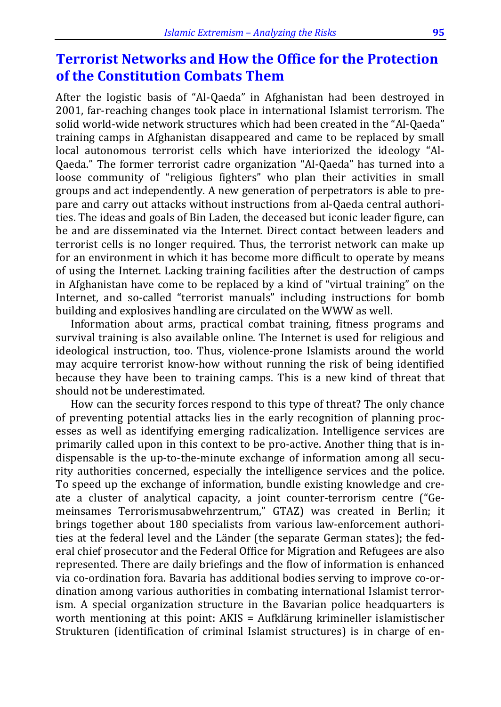### **Terrorist Networks and How the Office for the Protection of the Constitution Combats Them**

After the logistic basis of "Al-Qaeda" in Afghanistan had been destroyed in 2001, far-reaching changes took place in international Islamist terrorism. The solid world-wide network structures which had been created in the "Al-Qaeda" training camps in Afghanistan disappeared and came to be replaced by small local autonomous terrorist cells which have interiorized the ideology "Al-Qaeda." The former terrorist cadre organization "Al-Qaeda" has turned into a loose community of "religious fighters" who plan their activities in small groups and act independently. A new generation of perpetrators is able to prepare and carry out attacks without instructions from al-Qaeda central authorities. The ideas and goals of Bin Laden, the deceased but iconic leader figure, can be and are disseminated via the Internet. Direct contact between leaders and terrorist cells is no longer required. Thus, the terrorist network can make up for an environment in which it has become more difficult to operate by means of using the Internet. Lacking training facilities after the destruction of camps in Afghanistan have come to be replaced by a kind of "virtual training" on the Internet, and so-called "terrorist manuals" including instructions for bomb building and explosives handling are circulated on the WWW as well.

Information about arms, practical combat training, fitness programs and survival training is also available online. The Internet is used for religious and ideological instruction, too. Thus, violence-prone Islamists around the world may acquire terrorist know-how without running the risk of being identified because they have been to training camps. This is a new kind of threat that should not be underestimated.

How can the security forces respond to this type of threat? The only chance of preventing potential attacks lies in the early recognition of planning processes as well as identifying emerging radicalization. Intelligence services are primarily called upon in this context to be pro-active. Another thing that is indispensable is the up-to-the-minute exchange of information among all security authorities concerned, especially the intelligence services and the police. To speed up the exchange of information, bundle existing knowledge and create a cluster of analytical capacity, a joint counter-terrorism centre ("Gemeinsames Terrorismusabwehrzentrum," GTAZ) was created in Berlin; it brings together about 180 specialists from various law-enforcement authorities at the federal level and the Länder (the separate German states); the federal chief prosecutor and the Federal Office for Migration and Refugees are also represented. There are daily briefings and the flow of information is enhanced via co-ordination fora. Bavaria has additional bodies serving to improve co-ordination among various authorities in combating international Islamist terrorism. A special organization structure in the Bavarian police headquarters is worth mentioning at this point: AKIS = Aufklärung krimineller islamistischer Strukturen (identification of criminal Islamist structures) is in charge of en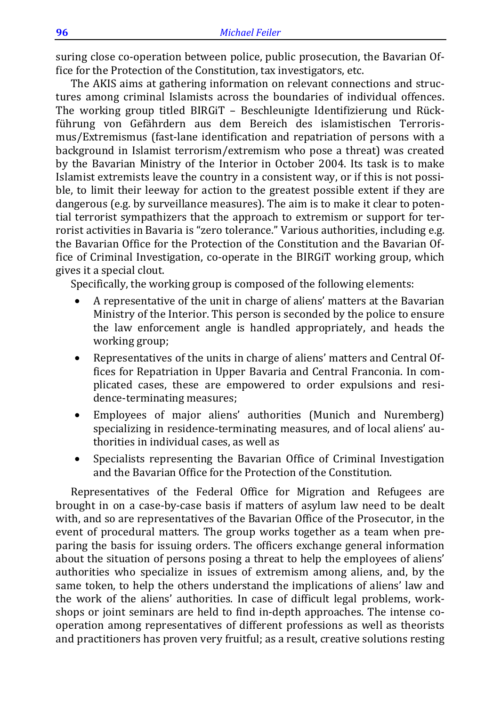suring close co-operation between police, public prosecution, the Bavarian Office for the Protection of the Constitution, tax investigators, etc.

The AKIS aims at gathering information on relevant connections and structures among criminal Islamists across the boundaries of individual offences. The working group titled BIRGiT – Beschleunigte Identifizierung und Rückführung von Gefährdern aus dem Bereich des islamistischen Terrorismus/Extremismus (fast-lane identification and repatriation of persons with a background in Islamist terrorism/extremism who pose a threat) was created by the Bavarian Ministry of the Interior in October 2004. Its task is to make Islamist extremists leave the country in a consistent way, or if this is not possible, to limit their leeway for action to the greatest possible extent if they are dangerous (e.g. by surveillance measures). The aim is to make it clear to potential terrorist sympathizers that the approach to extremism or support for terrorist activities in Bavaria is "zero tolerance." Various authorities, including e.g. the Bavarian Office for the Protection of the Constitution and the Bavarian Office of Criminal Investigation, co-operate in the BIRGiT working group, which gives it a special clout.

Specifically, the working group is composed of the following elements:

- A representative of the unit in charge of aliens' matters at the Bavarian Ministry of the Interior. This person is seconded by the police to ensure the law enforcement angle is handled appropriately, and heads the working group;
- Representatives of the units in charge of aliens' matters and Central Offices for Repatriation in Upper Bavaria and Central Franconia. In complicated cases, these are empowered to order expulsions and residence-terminating measures;
- Employees of major aliens' authorities (Munich and Nuremberg) specializing in residence-terminating measures, and of local aliens' authorities in individual cases, as well as
- Specialists representing the Bavarian Office of Criminal Investigation and the Bavarian Office for the Protection of the Constitution.

Representatives of the Federal Office for Migration and Refugees are brought in on a case-by-case basis if matters of asylum law need to be dealt with, and so are representatives of the Bavarian Office of the Prosecutor, in the event of procedural matters. The group works together as a team when preparing the basis for issuing orders. The officers exchange general information about the situation of persons posing a threat to help the employees of aliens' authorities who specialize in issues of extremism among aliens, and, by the same token, to help the others understand the implications of aliens' law and the work of the aliens' authorities. In case of difficult legal problems, workshops or joint seminars are held to find in-depth approaches. The intense cooperation among representatives of different professions as well as theorists and practitioners has proven very fruitful; as a result, creative solutions resting